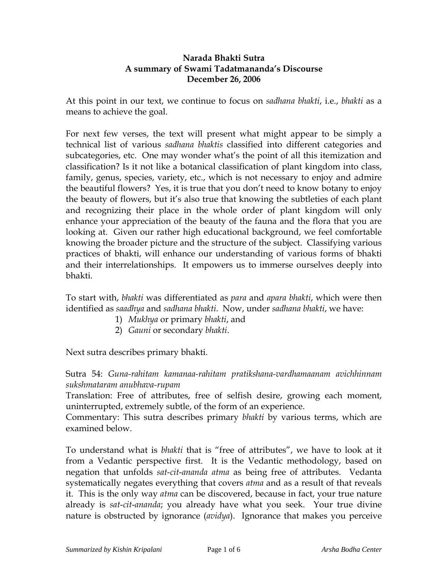## **Narada Bhakti Sutra A summary of Swami Tadatmananda's Discourse December 26, 2006**

At this point in our text, we continue to focus on *sadhana bhakti*, i.e., *bhakti* as a means to achieve the goal.

For next few verses, the text will present what might appear to be simply a technical list of various *sadhana bhaktis* classified into different categories and subcategories, etc. One may wonder what's the point of all this itemization and classification? Is it not like a botanical classification of plant kingdom into class, family, genus, species, variety, etc., which is not necessary to enjoy and admire the beautiful flowers? Yes, it is true that you don't need to know botany to enjoy the beauty of flowers, but it's also true that knowing the subtleties of each plant and recognizing their place in the whole order of plant kingdom will only enhance your appreciation of the beauty of the fauna and the flora that you are looking at. Given our rather high educational background, we feel comfortable knowing the broader picture and the structure of the subject. Classifying various practices of bhakti, will enhance our understanding of various forms of bhakti and their interrelationships. It empowers us to immerse ourselves deeply into bhakti.

To start with, *bhakti* was differentiated as *para* and *apara bhakti*, which were then identified as *saadhya* and *sadhana bhakti*. Now, under *sadhana bhakti*, we have:

- 1) *Mukhya* or primary *bhakti*, and
- 2) *Gauni* or secondary *bhakti*.

Next sutra describes primary bhakti.

Sutra 54: *Guna-rahitam kamanaa-rahitam pratikshana-vardhamaanam avichhinnam sukshmataram anubhava-rupam*

Translation: Free of attributes, free of selfish desire, growing each moment, uninterrupted, extremely subtle, of the form of an experience.

Commentary: This sutra describes primary *bhakti* by various terms, which are examined below.

To understand what is *bhakti* that is "free of attributes", we have to look at it from a Vedantic perspective first. It is the Vedantic methodology, based on negation that unfolds *sat*-*cit*-*ananda atma* as being free of attributes. Vedanta systematically negates everything that covers *atma* and as a result of that reveals it. This is the only way *atma* can be discovered, because in fact, your true nature already is *sat*-*cit*-*ananda*; you already have what you seek. Your true divine nature is obstructed by ignorance (*avidya*). Ignorance that makes you perceive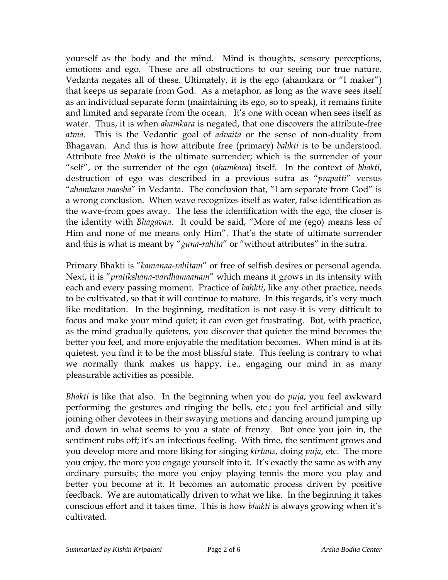yourself as the body and the mind. Mind is thoughts, sensory perceptions, emotions and ego. These are all obstructions to our seeing our true nature. Vedanta negates all of these. Ultimately, it is the ego (ahamkara or "I maker") that keeps us separate from God. As a metaphor, as long as the wave sees itself as an individual separate form (maintaining its ego, so to speak), it remains finite and limited and separate from the ocean. It's one with ocean when sees itself as water. Thus, it is when *ahamkara* is negated, that one discovers the attribute-free *atma.* This is the Vedantic goal of *advaita* or the sense of non-duality from Bhagavan. And this is how attribute free (primary) *bahkti* is to be understood. Attribute free *bhakti* is the ultimate surrender; which is the surrender of your "self", or the surrender of the ego (*ahamkara*) itself. In the context of *bhakti*, destruction of ego was described in a previous sutra as "*prapatti*" versus "*ahamkara naasha*" in Vedanta. The conclusion that, "I am separate from God" is a wrong conclusion. When wave recognizes itself as water, false identification as the wave-from goes away. The less the identification with the ego, the closer is the identity with *Bhagavan*. It could be said, "More of me (ego) means less of Him and none of me means only Him". That's the state of ultimate surrender and this is what is meant by "*guna*-*rahita*" or "without attributes" in the sutra.

Primary Bhakti is "*kamanaa-rahitam*" or free of selfish desires or personal agenda. Next, it is "*pratikshana*-*vardhamaanam*" which means it grows in its intensity with each and every passing moment. Practice of *bahkti*, like any other practice, needs to be cultivated, so that it will continue to mature. In this regards, it's very much like meditation. In the beginning, meditation is not easy-it is very difficult to focus and make your mind quiet; it can even get frustrating. But, with practice, as the mind gradually quietens, you discover that quieter the mind becomes the better you feel, and more enjoyable the meditation becomes. When mind is at its quietest, you find it to be the most blissful state. This feeling is contrary to what we normally think makes us happy, i.e., engaging our mind in as many pleasurable activities as possible.

*Bhakti* is like that also. In the beginning when you do *puja*, you feel awkward performing the gestures and ringing the bells, etc.; you feel artificial and silly joining other devotees in their swaying motions and dancing around jumping up and down in what seems to you a state of frenzy. But once you join in, the sentiment rubs off; it's an infectious feeling. With time, the sentiment grows and you develop more and more liking for singing *kirtans*, doing *puja*, etc. The more you enjoy, the more you engage yourself into it. It's exactly the same as with any ordinary pursuits; the more you enjoy playing tennis the more you play and better you become at it. It becomes an automatic process driven by positive feedback. We are automatically driven to what we like. In the beginning it takes conscious effort and it takes time. This is how *bhakti* is always growing when it's cultivated.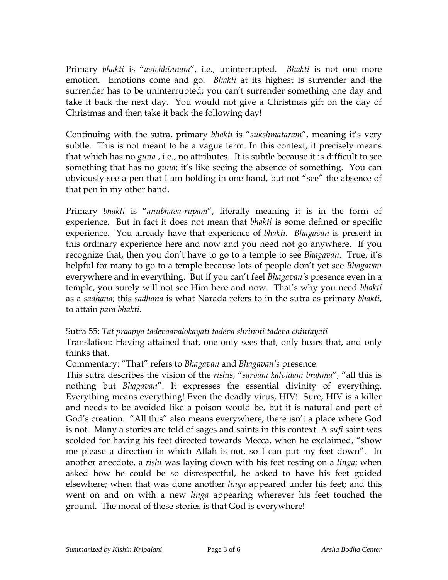Primary *bhakti* is "*avichhinnam*", i.e., uninterrupted. *Bhakti* is not one more emotion. Emotions come and go. *Bhakti* at its highest is surrender and the surrender has to be uninterrupted; you can't surrender something one day and take it back the next day. You would not give a Christmas gift on the day of Christmas and then take it back the following day!

Continuing with the sutra, primary *bhakti* is "*sukshmataram*", meaning it's very subtle. This is not meant to be a vague term. In this context, it precisely means that which has no *guna* , i.e., no attributes. It is subtle because it is difficult to see something that has no *guna*; it's like seeing the absence of something. You can obviously see a pen that I am holding in one hand, but not "see" the absence of that pen in my other hand.

Primary *bhakti* is "*anubhava*-*rupam*", literally meaning it is in the form of experience. But in fact it does not mean that *bhakti* is some defined or specific experience. You already have that experience of *bhakti*. *Bhagavan* is present in this ordinary experience here and now and you need not go anywhere. If you recognize that, then you don't have to go to a temple to see *Bhagavan*. True, it's helpful for many to go to a temple because lots of people don't yet see *Bhagavan* everywhere and in everything. But if you can't feel *Bhagavan's* presence even in a temple, you surely will not see Him here and now. That's why you need *bhakti* as a *sadhana*; this *sadhana* is what Narada refers to in the sutra as primary *bhakti*, to attain *para bhakti*.

Sutra 55: *Tat praapya tadevaavalokayati tadeva shrinoti tadeva chintayati*

Translation: Having attained that, one only sees that, only hears that, and only thinks that.

Commentary: "That" refers to *Bhagavan* and *Bhagavan's* presence.

This sutra describes the vision of the *rishis*, "*sarvam kalvidam brahma*", "all this is nothing but *Bhagavan*". It expresses the essential divinity of everything. Everything means everything! Even the deadly virus, HIV! Sure, HIV is a killer and needs to be avoided like a poison would be, but it is natural and part of God's creation. "All this" also means everywhere; there isn't a place where God is not. Many a stories are told of sages and saints in this context. A *sufi* saint was scolded for having his feet directed towards Mecca, when he exclaimed, "show me please a direction in which Allah is not, so I can put my feet down". In another anecdote, a *rishi* was laying down with his feet resting on a *linga*; when asked how he could be so disrespectful, he asked to have his feet guided elsewhere; when that was done another *linga* appeared under his feet; and this went on and on with a new *linga* appearing wherever his feet touched the ground. The moral of these stories is that God is everywhere!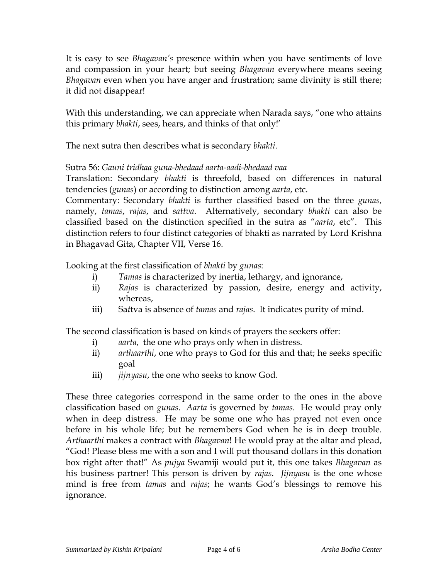It is easy to see *Bhagavan's* presence within when you have sentiments of love and compassion in your heart; but seeing *Bhagavan* everywhere means seeing *Bhagavan* even when you have anger and frustration; same divinity is still there; it did not disappear!

With this understanding, we can appreciate when Narada says, "one who attains this primary *bhakti*, sees, hears, and thinks of that only!'

The next sutra then describes what is secondary *bhakti*.

## Sutra 56: *Gauni tridhaa guna-bhedaad aarta-aadi-bhedaad vaa*

Translation: Secondary *bhakti* is threefold, based on differences in natural tendencies (*gunas*) or according to distinction among *aarta*, etc.

Commentary: Secondary *bhakti* is further classified based on the three *gunas*, namely, *tamas*, *rajas*, and *sattva*. Alternatively, secondary *bhakti* can also be classified based on the distinction specified in the sutra as "*aarta*, etc". This distinction refers to four distinct categories of bhakti as narrated by Lord Krishna in Bhagavad Gita, Chapter VII, Verse 16.

Looking at the first classification of *bhakti* by *gunas*:

- i) *Tamas* is characterized by inertia, lethargy, and ignorance,
- ii) *Rajas* is characterized by passion, desire, energy and activity, whereas,
- iii) Sa*t*tva is absence of *tamas* and *rajas*. It indicates purity of mind.

The second classification is based on kinds of prayers the seekers offer:

- i) *aarta*, the one who prays only when in distress.
- ii) *arthaarthi*, one who prays to God for this and that; he seeks specific goal
- iii) *jijnyasu*, the one who seeks to know God.

These three categories correspond in the same order to the ones in the above classification based on *gunas*. *Aarta* is governed by *tamas*. He would pray only when in deep distress. He may be some one who has prayed not even once before in his whole life; but he remembers God when he is in deep trouble. *Arthaarthi* makes a contract with *Bhagavan*! He would pray at the altar and plead, "God! Please bless me with a son and I will put thousand dollars in this donation box right after that!" As *pujya* Swamiji would put it, this one takes *Bhagavan* as his business partner! This person is driven by *rajas*. *Jijnyasu* is the one whose mind is free from *tamas* and *rajas*; he wants God's blessings to remove his ignorance.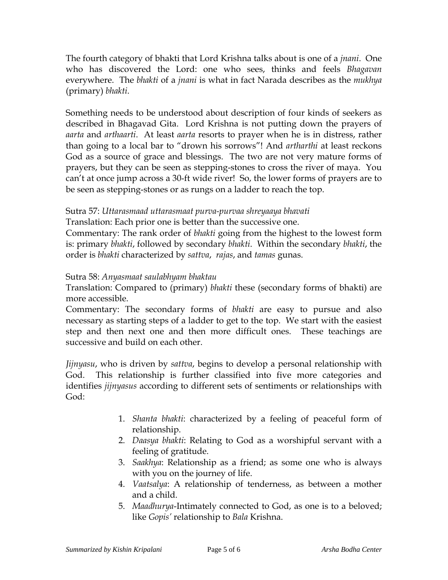The fourth category of bhakti that Lord Krishna talks about is one of a *jnani*. One who has discovered the Lord: one who sees, thinks and feels *Bhagavan* everywhere. The *bhakti* of a *jnani* is what in fact Narada describes as the *mukhya*  (primary) *bhakti*.

Something needs to be understood about description of four kinds of seekers as described in Bhagavad Gita. Lord Krishna is not putting down the prayers of *aarta* and *arthaarti*. At least *aarta* resorts to prayer when he is in distress, rather than going to a local bar to "drown his sorrows"! And *artharthi* at least reckons God as a source of grace and blessings. The two are not very mature forms of prayers, but they can be seen as stepping-stones to cross the river of maya. You can't at once jump across a 30-ft wide river! So, the lower forms of prayers are to be seen as stepping-stones or as rungs on a ladder to reach the top.

## Sutra 57: *Uttarasmaad uttarasmaat purva-purvaa shreyaaya bhavati*

Translation: Each prior one is better than the successive one.

Commentary: The rank order of *bhakti* going from the highest to the lowest form is: primary *bhakti*, followed by secondary *bhakti*. Within the secondary *bhakti*, the order is *bhakti* characterized by *sattva*, *rajas*, and *tamas* gunas.

## Sutra 58: *Anyasmaat saulabhyam bhaktau*

Translation: Compared to (primary) *bhakti* these (secondary forms of bhakti) are more accessible.

Commentary: The secondary forms of *bhakti* are easy to pursue and also necessary as starting steps of a ladder to get to the top. We start with the easiest step and then next one and then more difficult ones. These teachings are successive and build on each other.

*Jijnyasu*, who is driven by *sattva*, begins to develop a personal relationship with God. This relationship is further classified into five more categories and identifies *jijnyasus* according to different sets of sentiments or relationships with God:

- 1. *Shanta bhakti*: characterized by a feeling of peaceful form of relationship.
- 2. *Daasya bhakti*: Relating to God as a worshipful servant with a feeling of gratitude.
- 3. *Saakhya*: Relationship as a friend; as some one who is always with you on the journey of life.
- 4. *Vaatsalya*: A relationship of tenderness, as between a mother and a child.
- 5. *Maadhurya*-Intimately connected to God, as one is to a beloved; like *Gopis'* relationship to *Bala* Krishna.